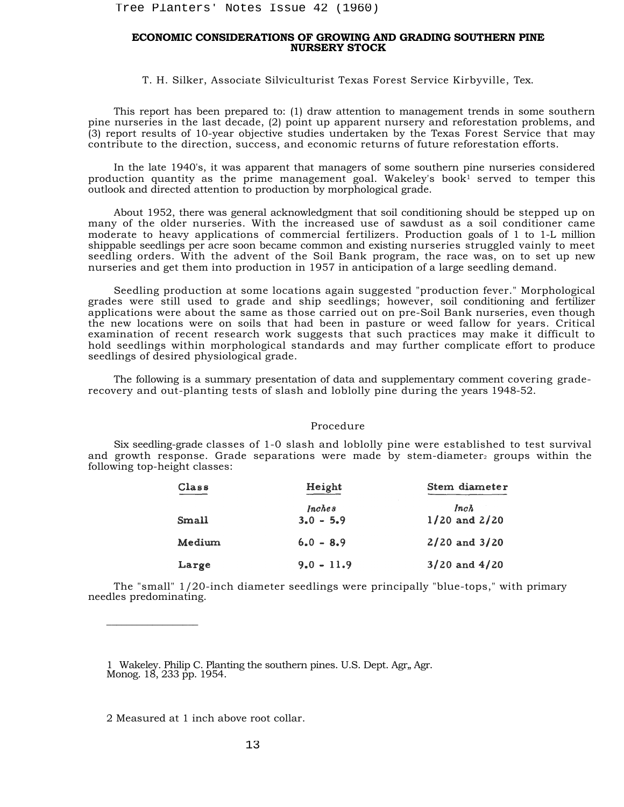## **ECONOMIC CONSIDERATIONS OF GROWING AND GRADING SOUTHERN PINE NURSERY STOCK**

T. H. Silker, Associate Silviculturist Texas Forest Service Kirbyville, Tex.

This report has been prepared to: (1) draw attention to management trends in some southern pine nurseries in the last decade, (2) point up apparent nursery and reforestation problems, and (3) report results of 10-year objective studies undertaken by the Texas Forest Service that may contribute to the direction, success, and economic returns of future reforestation efforts.

In the late 1940's, it was apparent that managers of some southern pine nurseries considered production quantity as the prime management goal. Wakeley's book<sup>1</sup> served to temper this outlook and directed attention to production by morphological grade.

About 1952, there was general acknowledgment that soil conditioning should be stepped up on many of the older nurseries. With the increased use of sawdust as a soil conditioner came moderate to heavy applications of commercial fertilizers. Production goals of 1 to 1-L million shippable seedlings per acre soon became common and existing nurseries struggled vainly to meet seedling orders. With the advent of the Soil Bank program, the race was, on to set up new nurseries and get them into production in 1957 in anticipation of a large seedling demand.

Seedling production at some locations again suggested "production fever." Morphological grades were still used to grade and ship seedlings; however, soil conditioning and fertilizer applications were about the same as those carried out on pre-Soil Bank nurseries, even though the new locations were on soils that had been in pasture or weed fallow for years. Critical examination of recent research work suggests that such practices may make it difficult to hold seedlings within morphological standards and may further complicate effort to produce seedlings of desired physiological grade. Tree Planters' Notes Issue 42 (1960)<br> **ECONOMIC CONSIDERATIONS OF GROWING A**<br> **NURSERY STOC:**<br>
T. H. Silker, Associate Silviculturist Texas F<br>
This report has hean prepared to: (1) draw attention<br>
murseries in the last de

The following is a summary presentation of data and supplementary comment covering graderecovery and out-planting tests of slash and loblolly pine during the years 1948-52.

## Procedure

Six seedling-grade classes of 1-0 slash and loblolly pine were established to test survival and growth response. Grade separations were made by stem-diameter<sub>2</sub> groups within the following top-height classes:

| Class  | Height       | Stem diameter     |  |  |
|--------|--------------|-------------------|--|--|
|        | Inches       | lnch              |  |  |
| Small  | $3.0 - 5.9$  | $1/20$ and $2/20$ |  |  |
| Medium | $6.0 - 8.9$  | $2/20$ and $3/20$ |  |  |
| Large  | $9.0 - 11.9$ | $3/20$ and $4/20$ |  |  |

The "small" 1/20-inch diameter seedlings were principally "blue-tops," with primary needles predominating.

1 Wakeley. Philip C. Planting the southern pines. U.S. Dept. Agr., Agr. Monog. 18, 233 pp. 1954.

2 Measured at 1 inch above root collar.

 $\overline{\phantom{a}}$  , where  $\overline{\phantom{a}}$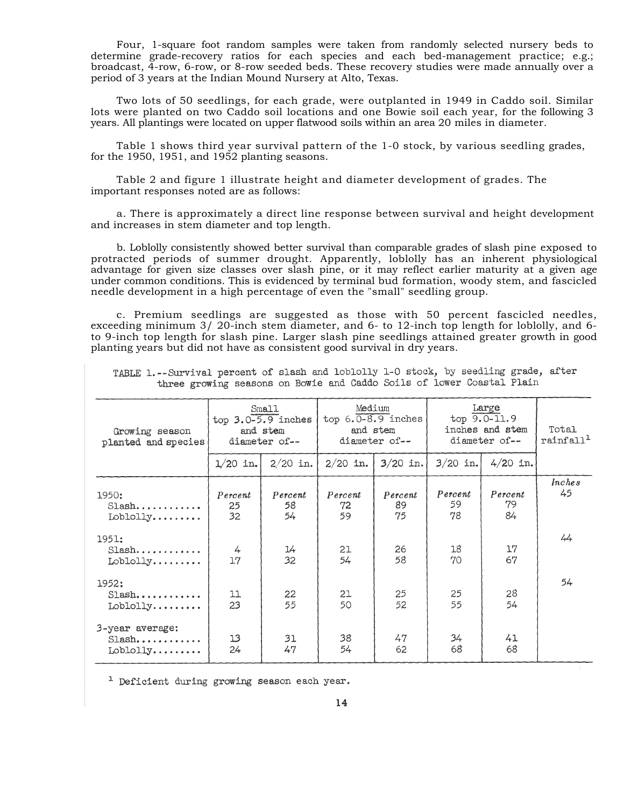Four, 1-square foot random samples were taken from randomly selected nursery beds to determine grade-recovery ratios for each species and each bed-management practice; e.g.; broadcast, 4-row, 6-row, or 8-row seeded beds. These recovery studies were made annually over a period of 3 years at the Indian Mound Nursery at Alto, Texas.

Two lots of 50 seedlings, for each grade, were outplanted in 1949 in Caddo soil. Similar lots were planted on two Caddo soil locations and one Bowie soil each year, for the following 3 years. All plantings were located on upper flatwood soils within an area 20 miles in diameter.

Table 1 shows third year survival pattern of the 1-0 stock, by various seedling grades, for the 1950, 1951, and 1952 planting seasons.

Table 2 and figure 1 illustrate height and diameter development of grades. The important responses noted are as follows:

a. There is approximately a direct line response between survival and height development and increases in stem diameter and top length.

b. Loblolly consistently showed better survival than comparable grades of slash pine exposed to protracted periods of summer drought. Apparently, loblolly has an inherent physiological advantage for given size classes over slash pine, or it may reflect earlier maturity at a given age under common conditions. This is evidenced by terminal bud formation, woody stem, and fascicled needle development in a high percentage of even the "small" seedling group.

c. Premium seedlings are suggested as those with 50 percent fascicled needles, exceeding minimum 3/ 20-inch stem diameter, and 6- to 12-inch top length for loblolly, and 6 to 9-inch top length for slash pine. Larger slash pine seedlings attained greater growth in good planting years but did not have as consistent good survival in dry years.

| Growing season<br>planted and species          | Small<br>top $3.0 - 5.9$ inches<br>and stem<br>diameter of-- |                     | Medium<br>top $6.0 - 8.9$ inches<br>and stem<br>diameter of-- |                     | Large<br>$top 9.0 - 11.9$<br>inches and stem<br>diameter of-- |                     | Total<br>rainfall <sup>1</sup> |
|------------------------------------------------|--------------------------------------------------------------|---------------------|---------------------------------------------------------------|---------------------|---------------------------------------------------------------|---------------------|--------------------------------|
|                                                | $1/20$ in.                                                   | $2/20$ in.          | $2/20$ in.                                                    | $3/20$ in.          | $3/20$ in.                                                    | $4/20$ in.          |                                |
| 1950:<br>$Slash.$<br>Loblolly                  | Percent<br>25<br>32                                          | Percent<br>58<br>54 | Percent<br>72<br>59                                           | Percent<br>89<br>75 | Percent<br>59<br>78                                           | Percent<br>79<br>84 | <i>Inches</i><br>45            |
| 1951:<br>$Slash.$<br>Loblolly                  | 4<br>17                                                      | 14<br>32            | 21<br>54                                                      | 26<br>58            | 18<br>70                                                      | 17<br>67            | 44                             |
| 1952:<br>$Slash.$<br>$Loblolly. \ldots \ldots$ | 11<br>23                                                     | 22<br>55            | 21<br>50                                                      | 25<br>52            | 25<br>55                                                      | 28<br>54            | 54                             |
| 3-year average:<br>$Slash.$<br>$Loblolly$      | 13<br>24                                                     | 31<br>47            | 38<br>54                                                      | 47<br>62            | 34<br>68                                                      | 41<br>68            |                                |

TARLE 1.--Survival percent of slash and loblolly 1-0 stock, by seedling grade, after three growing seasons on Bowie and Caddo Soils of lower Coastal Plain

<sup>1</sup> Deficient during growing season each year.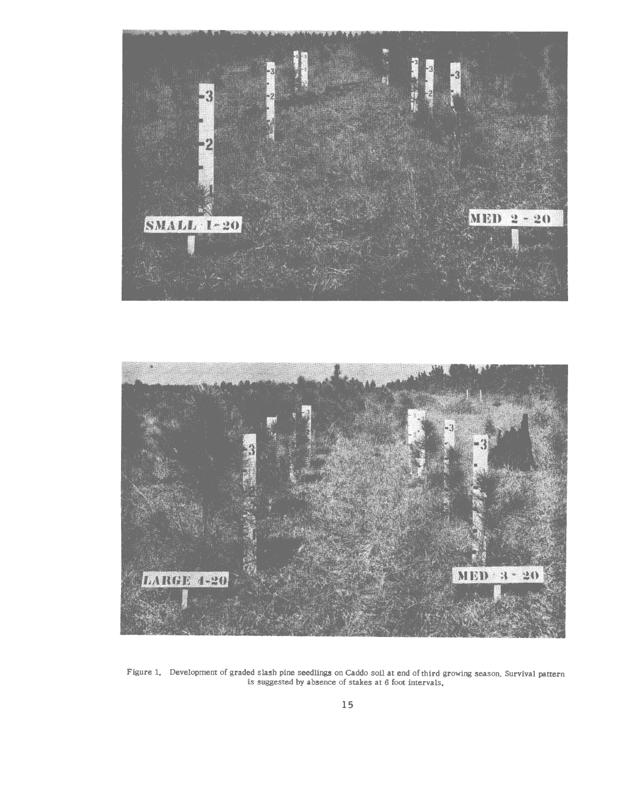



Figure 1. Development of graded slash pine seedlings on Caddo soil at end of third growing season. Survival pattern is suggested by absence of stakes at 6 foot intervals.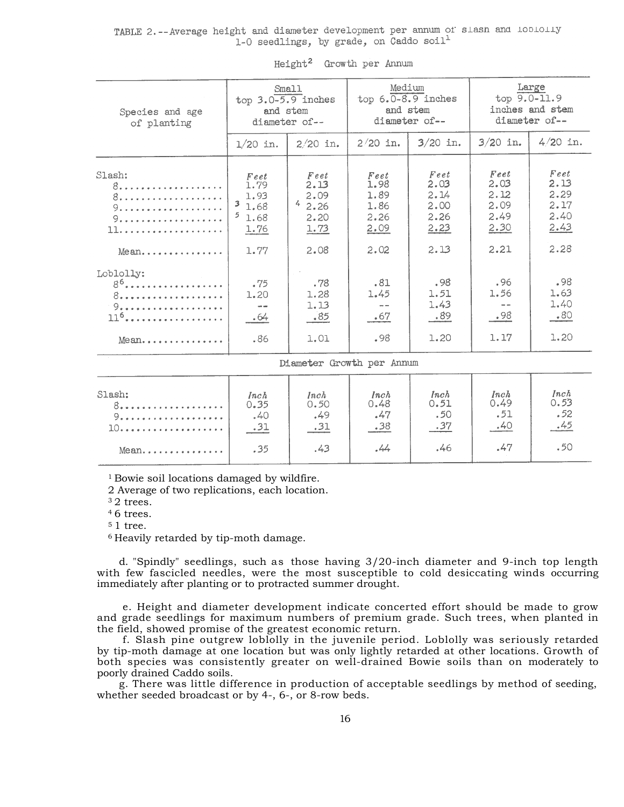TABLE 2. -- Average height and diameter development per annum of slash and lobiolly 1-0 seedlings, by grade, on Caddo soil<sup>1</sup>

| Species and age<br>of planting                               | Small<br>top $3.0 - 5.9$ inches<br>and stem<br>diameter of --                   |                                                  | Medium<br>top $6.0 - 8.9$ inches<br>and stem<br>diameter of-- |                                                 | Large<br>$top 9.0 - 11.9$<br>inches and stem<br>diameter of-- |                                              |
|--------------------------------------------------------------|---------------------------------------------------------------------------------|--------------------------------------------------|---------------------------------------------------------------|-------------------------------------------------|---------------------------------------------------------------|----------------------------------------------|
|                                                              | $1/20$ in.                                                                      | $2/20$ in.                                       | $2/20$ in.                                                    | $3/20$ in.                                      | $3/20$ in.                                                    | $4/20$ in.                                   |
| Slash:<br>8.<br>8.<br>9.<br>9.                               | $F$ eet<br>1.79<br>1.93<br>$\overline{\mathbf{3}}$<br>1.68<br>5<br>1.68<br>1.76 | $F$ eet<br>2.13<br>2.09<br>42.26<br>2.20<br>1.73 | Feet<br>1.98<br>1.89<br>1.86<br>2.26<br>2.09                  | $Fe$ et<br>2.03<br>2.14<br>2.00<br>2.26<br>2.23 | $Fe$ et<br>2.03<br>2.12<br>2.09<br>2.49<br>2.30               | Feet<br>2.13<br>2.29<br>2.17<br>2.40<br>2.43 |
| $Mean$                                                       | 1.77                                                                            | 2.08                                             | 2.02                                                          | 2.13                                            | 2.21                                                          | 2.28                                         |
| Loblolly:<br>8 <sup>6</sup> .<br>8.<br>9.<br>$116$<br>$Mean$ | .75<br>1.20<br>.64<br>.86                                                       | .78<br>1.28<br>1.13<br>- 85<br>1.01              | .81<br>1.45<br>.67<br>.98                                     | .98<br>1.51<br>1.43<br>.89<br>1.20              | .96<br>1.56<br>.98<br>1.17                                    | .98<br>1.63<br>1.40<br>.80<br>1.20           |
| Diameter Growth per Annum                                    |                                                                                 |                                                  |                                                               |                                                 |                                                               |                                              |
| Slash:<br>8.<br>9.<br>10.                                    | Inch<br>0.35<br>.40<br>.31                                                      | Inch<br>0.50<br>.49<br>.31                       | Inch<br>0.48<br>.47<br>.38                                    | Inch<br>0.51<br>.50<br>.37                      | Inch<br>0.49<br>.51<br>.40                                    | Inch<br>0.53<br>.52<br>.45                   |

Height<sup>2</sup> Growth per Annum

1 Bowie soil locations damaged by wildfire.

2 Average of two replications, each location.<br> $32$  trees.

 $.35$ 

Mean......

4 6 trees.

 $51$  tree.<br> $6$  Heavily retarded by tip-moth damage.

d. "Spindly" seedlings, such as those having 3/20-inch diameter and 9-inch top length with few fascicled needles, were the most susceptible to cold desiccating winds occurring immediately after planting or to protracted summer drought.

 $.44$ 

 $.43$ 

.46

.50

 $.47$ 

e. Height and diameter development indicate concerted effort should be made to grow and grade seedlings for maximum numbers of premium grade. Such trees, when planted in the field, showed promise of the greatest economic return.

f. Slash pine outgrew loblolly in the juvenile period. Loblolly was seriously retarded by tip-moth damage at one location but was only lightly retarded at other locations. Growth of both species was consistently greater on well-drained Bowie soils than on moderately to poorly drained Caddo soils.

g. There was little difference in production of acceptable seedlings by method of seeding, whether seeded broadcast or by 4-, 6-, or 8-row beds.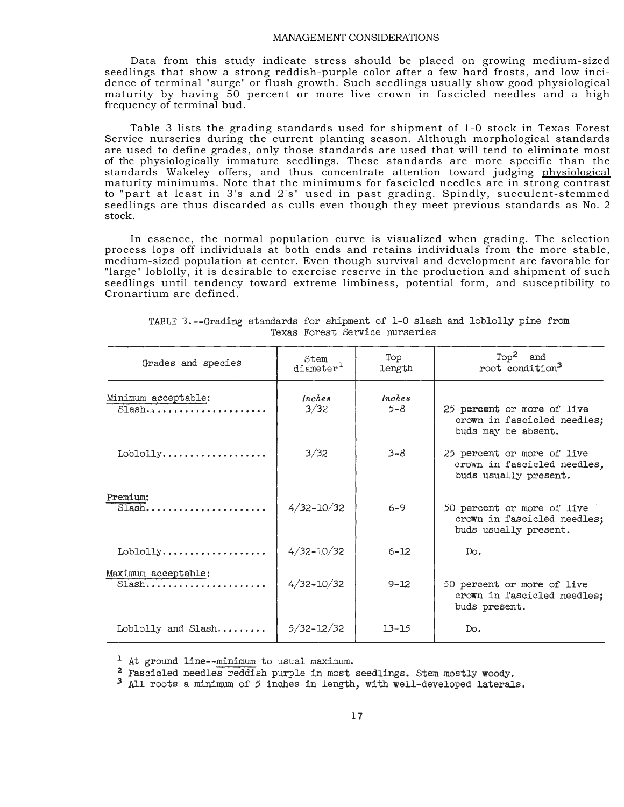## MANAGEMENT CONSIDERATIONS

Data from this study indicate stress should be placed on growing medium-sized seedlings that show a strong reddish-purple color after a few hard frosts, and low incidence of terminal "surge" or flush growth. Such seedlings usually show good physiological maturity by having 50 percent or more live crown in fascicled needles and a high frequency of terminal bud.

Table 3 lists the grading standards used for shipment of 1-0 stock in Texas Forest Service nurseries during the current planting season. Although morphological standards are used to define grades, only those standards are used that will tend to eliminate most of the physiologically immature seedlings. These standards are more specific than the standards Wakeley offers, and thus concentrate attention toward judging physiological maturity minimums. Note that the minimums for fascicled needles are in strong contrast to "part at least in 3's and 2's" used in past grading. Spindly, succulent-stemmed seedlings are thus discarded as culls even though they meet previous standards as No. 2 stock.

In essence, the normal population curve is visualized when grading. The selection process lops off individuals at both ends and retains individuals from the more stable, medium-sized population at center. Even though survival and development are favorable for "large" loblolly, it is desirable to exercise reserve in the production and shipment of such seedlings until tendency toward extreme limbiness, potential form, and susceptibility to Cronartium are defined.

| Grades and species              | Stem<br>diameter <sup>1</sup> | Top<br>length            | $Top2$ and<br>root condition <sup>3</sup>                                          |
|---------------------------------|-------------------------------|--------------------------|------------------------------------------------------------------------------------|
| Minimum acceptable:<br>$Slash$  | Inches<br>3/32                | <i>Inches</i><br>$5 - 8$ | 25 percent or more of live<br>crown in fascicled needles;<br>buds may be absent.   |
| Loblolly                        | 3/32                          | $3 - 8$                  | 25 percent or more of live<br>crown in fascicled needles,<br>buds usually present. |
| Premium:<br>$S$ lash            | $4/32 - 10/32$                | $6 - 9$                  | 50 percent or more of live<br>crown in fascicled needles;<br>buds usually present. |
| Loblolly                        | $4/32 - 10/32$                | $6 - 12$                 | Do.                                                                                |
| Maximum acceptable:<br>$S$ lash | $4/32 - 10/32$                | $9 - 12$                 | 50 percent or more of live<br>crown in fascicled needles;<br>buds present.         |
| Loblolly and Slash              | $5/32 - 12/32$                | $13 - 15$                | Do.                                                                                |

TABLE 3.--Grading standards for shipment of 1-0 slash and loblolly pine from Texas Forest Service nurseries

<sup>1</sup> At ground line--minimum to usual maximum.

<sup>2</sup> Fascicled needles reddish purple in most seedlings. Stem mostly woody.

<sup>3</sup> All roots a minimum of 5 inches in length, with well-developed laterals.